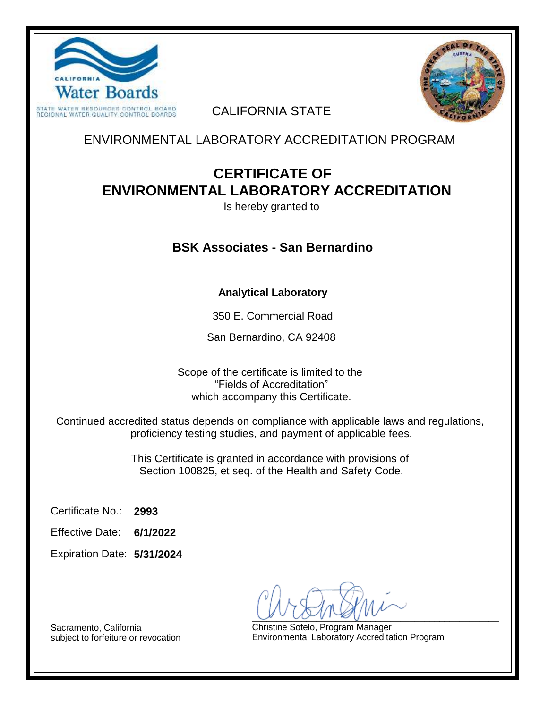



### CALIFORNIA STATE

ENVIRONMENTAL LABORATORY ACCREDITATION PROGRAM

# **CERTIFICATE OF ENVIRONMENTAL LABORATORY ACCREDITATION**

Is hereby granted to

## **BSK Associates - San Bernardino**

#### **Analytical Laboratory**

350 E. Commercial Road

San Bernardino, CA 92408

Scope of the certificate is limited to the "Fields of Accreditation" which accompany this Certificate.

Continued accredited status depends on compliance with applicable laws and regulations, proficiency testing studies, and payment of applicable fees.

> This Certificate is granted in accordance with provisions of Section 100825, et seq. of the Health and Safety Code.

**2993** Certificate No.:

**6/1/2022** Effective Date:

**5/31/2024** Expiration Date:

 $U \cup U \cup V$ 

Christine Sotelo, Program Manager Environmental Laboratory Accreditation Program

Sacramento, California subject to forfeiture or revocation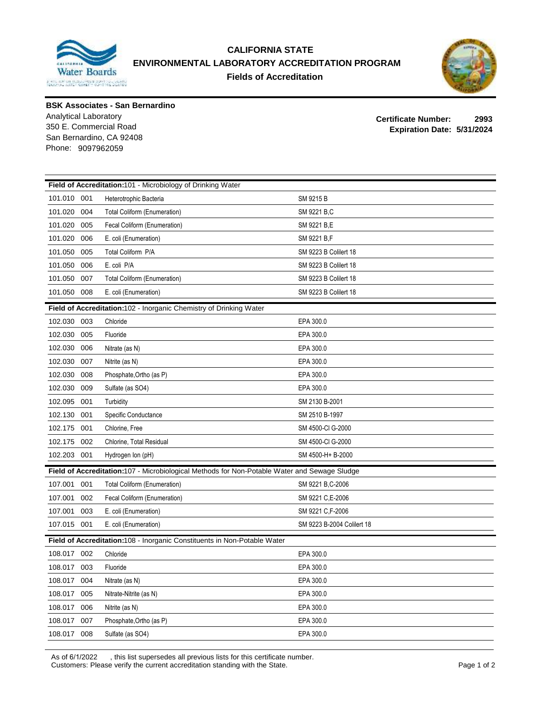

#### **CALIFORNIA STATE ENVIRONMENTAL LABORATORY ACCREDITATION PROGRAM Fields of Accreditation**



**BSK Associates - San Bernardino**

Analytical Laboratory San Bernardino, CA 92408 Phone: 9097962059

**Certificate Number: 2993 Expiration Date: 5/31/2024** 350 E. Commercial Road

| Field of Accreditation:101 - Microbiology of Drinking Water                                  |                                     |                             |  |  |  |
|----------------------------------------------------------------------------------------------|-------------------------------------|-----------------------------|--|--|--|
| 101.010<br>001                                                                               | Heterotrophic Bacteria              | SM 9215 B                   |  |  |  |
| 101.020<br>004                                                                               | <b>Total Coliform (Enumeration)</b> | SM 9221 B,C                 |  |  |  |
| 101.020<br>005                                                                               | Fecal Coliform (Enumeration)        | SM 9221 B,E                 |  |  |  |
| 101.020<br>006                                                                               | E. coli (Enumeration)               | SM 9221 B,F                 |  |  |  |
| 101.050<br>005                                                                               | Total Coliform P/A                  | SM 9223 B Colilert 18       |  |  |  |
| 101.050<br>006                                                                               | E. coli P/A                         | SM 9223 B Colilert 18       |  |  |  |
| 101.050<br>007                                                                               | <b>Total Coliform (Enumeration)</b> | <b>SM 9223 B Collert 18</b> |  |  |  |
| 101.050<br>008                                                                               | E. coli (Enumeration)               | SM 9223 B Colilert 18       |  |  |  |
| Field of Accreditation:102 - Inorganic Chemistry of Drinking Water                           |                                     |                             |  |  |  |
| 102.030<br>003                                                                               | Chloride                            | EPA 300.0                   |  |  |  |
| 102.030<br>005                                                                               | Fluoride                            | EPA 300.0                   |  |  |  |
| 102.030<br>006                                                                               | Nitrate (as N)                      | EPA 300.0                   |  |  |  |
| 102.030<br>007                                                                               | Nitrite (as N)                      | EPA 300.0                   |  |  |  |
| 102.030<br>008                                                                               | Phosphate, Ortho (as P)             | EPA 300.0                   |  |  |  |
| 102.030<br>009                                                                               | Sulfate (as SO4)                    | EPA 300.0                   |  |  |  |
| 102.095<br>001                                                                               | Turbidity                           | SM 2130 B-2001              |  |  |  |
| 102.130<br>001                                                                               | Specific Conductance                | SM 2510 B-1997              |  |  |  |
| 102.175<br>001                                                                               | Chlorine, Free                      | SM 4500-CI G-2000           |  |  |  |
| 102.175<br>002                                                                               | Chlorine, Total Residual            | SM 4500-CI G-2000           |  |  |  |
| 102.203<br>001                                                                               | Hydrogen Ion (pH)                   | SM 4500-H+ B-2000           |  |  |  |
| Field of Accreditation:107 - Microbiological Methods for Non-Potable Water and Sewage Sludge |                                     |                             |  |  |  |
| 107.001<br>001                                                                               | <b>Total Coliform (Enumeration)</b> | SM 9221 B, C-2006           |  |  |  |
| 107.001<br>002                                                                               | Fecal Coliform (Enumeration)        | SM 9221 C,E-2006            |  |  |  |
| 107.001<br>003                                                                               | E. coli (Enumeration)               | SM 9221 C,F-2006            |  |  |  |
| 107.015 001                                                                                  | E. coli (Enumeration)               | SM 9223 B-2004 Colilert 18  |  |  |  |
| Field of Accreditation:108 - Inorganic Constituents in Non-Potable Water                     |                                     |                             |  |  |  |
| 108.017 002                                                                                  | Chloride                            | EPA 300.0                   |  |  |  |
| 108.017<br>003                                                                               | Fluoride                            | EPA 300.0                   |  |  |  |
| 108.017<br>004                                                                               | Nitrate (as N)                      | EPA 300.0                   |  |  |  |
| 108.017<br>005                                                                               | Nitrate-Nitrite (as N)              | EPA 300.0                   |  |  |  |
| 108.017<br>006                                                                               | Nitrite (as N)                      | EPA 300.0                   |  |  |  |
| 108.017<br>007                                                                               | Phosphate, Ortho (as P)             | EPA 300.0                   |  |  |  |
| 108.017<br>008                                                                               | Sulfate (as SO4)                    | EPA 300.0                   |  |  |  |

As of 6/1/2022 , this list supersedes all previous lists for this certificate number. Customers: Please verify the current accreditation standing with the State. Page 1 of 2